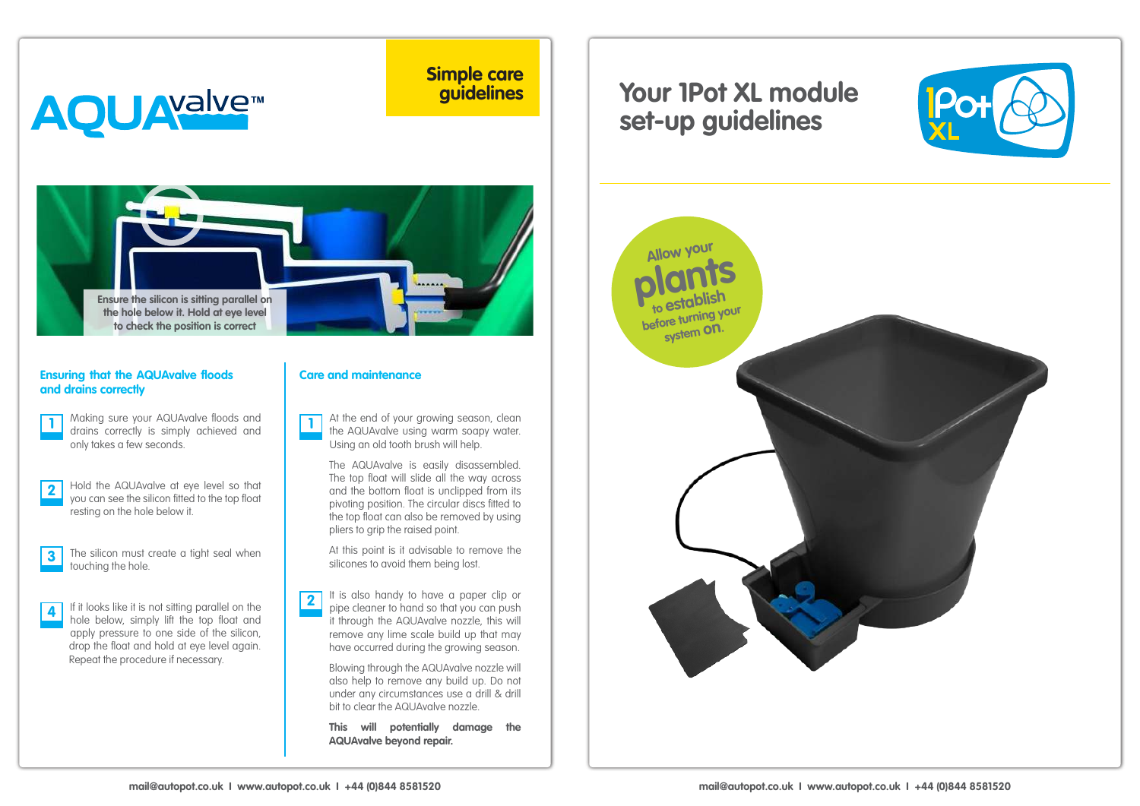## **AQUAYalvem**

**Simple care guidelines**



## **Ensuring that the AQUAvalve floods and drains correctly**

Making sure your AQUAvalve floods and drains correctly is simply achieved and **1 1** only takes a few seconds.

- Hold the AQUAvalve at eye level so that you can see the silicon fitted to the top float resting on the hole below it. **2**
- The silicon must create a tight seal when touching the hole. **3**

If it looks like it is not sitting parallel on the hole below, simply lift the top float and apply pressure to one side of the silicon, drop the float and hold at eye level again. Repeat the procedure if necessary. **4**

## **Care and maintenance**

At the end of your growing season, clean the AQUAvalve using warm soapy water. Using an old tooth brush will help.

The AQUAvalve is easily disassembled. The top float will slide all the way across and the bottom float is unclipped from its pivoting position. The circular discs fitted to the top float can also be removed by using pliers to grip the raised point.

At this point is it advisable to remove the silicones to avoid them being lost.

It is also handy to have a paper clip or pipe cleaner to hand so that you can push it through the AQUAvalve nozzle, this will remove any lime scale build up that may have occurred during the growing season. **2**

> Blowing through the AQUAvalve nozzle will also help to remove any build up. Do not under any circumstances use a drill & drill bit to clear the AQUAvalve nozzle.

**This will potentially damage the AQUAvalve beyond repair.**

## **Your 1Pot XL module set-up guidelines**